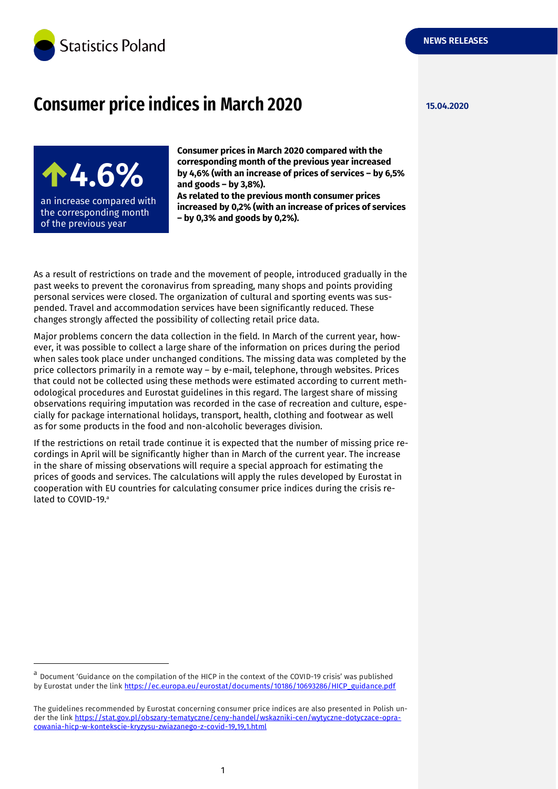

# **Consumer price indices in March 2020 15.04.2020**

**4.6%** an increase compared with the corresponding month of the previous year

-

**Consumer prices in March 2020 compared with the corresponding month of the previous year increased by 4,6% (with an increase of prices of services – by 6,5% and goods – by 3,8%).**

**As related to the previous month consumer prices increased by 0,2% (with an increase of prices of services – by 0,3% and goods by 0,2%).**

As a result of restrictions on trade and the movement of people, introduced gradually in the past weeks to prevent the coronavirus from spreading, many shops and points providing personal services were closed. The organization of cultural and sporting events was suspended. Travel and accommodation services have been significantly reduced. These changes strongly affected the possibility of collecting retail price data.

Major problems concern the data collection in the field. In March of the current year, however, it was possible to collect a large share of the information on prices during the period when sales took place under unchanged conditions. The missing data was completed by the price collectors primarily in a remote way – by e-mail, telephone, through websites. Prices that could not be collected using these methods were estimated according to current methodological procedures and Eurostat guidelines in this regard. The largest share of missing observations requiring imputation was recorded in the case of recreation and culture, especially for package international holidays, transport, health, clothing and footwear as well as for some products in the food and non-alcoholic beverages division.

If the restrictions on retail trade continue it is expected that the number of missing price recordings in April will be significantly higher than in March of the current year. The increase in the share of missing observations will require a special approach for estimating the prices of goods and services. The calculations will apply the rules developed by Eurostat in cooperation with EU countries for calculating consumer price indices during the crisis related to COVID-19.ª

a Document 'Guidance on the compilation of the HICP in the context of the COVID-19 crisis' was published by Eurostat under the link [https://ec.europa.eu/eurostat/documents/10186/10693286/HICP\\_guidance.pdf](https://ec.europa.eu/eurostat/documents/10186/10693286/HICP_guidance.pdf)

The guidelines recommended by Eurostat concerning consumer price indices are also presented in Polish under the link [https://stat.gov.pl/obszary-tematyczne/ceny-handel/wskazniki-cen/wytyczne-dotyczace-opra](https://stat.gov.pl/obszary-tematyczne/ceny-handel/wskazniki-cen/wytyczne-dotyczace-opracowania-hicp-w-kontekscie-kryzysu-zwiazanego-z-covid-19,19,1.html)[cowania-hicp-w-kontekscie-kryzysu-zwiazanego-z-covid-19,19,1.html](https://stat.gov.pl/obszary-tematyczne/ceny-handel/wskazniki-cen/wytyczne-dotyczace-opracowania-hicp-w-kontekscie-kryzysu-zwiazanego-z-covid-19,19,1.html)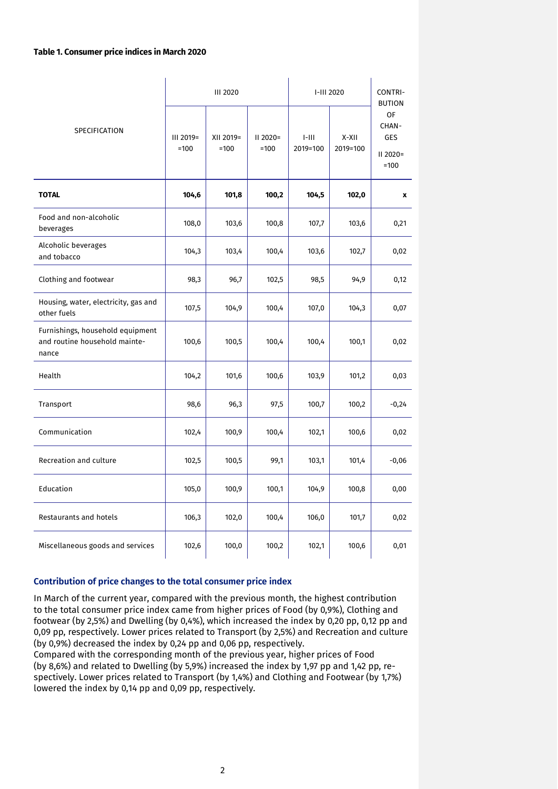#### **Table 1. Consumer price indices in March 2020**

|                                                                            |                     | <b>III 2020</b>     |                      | I-III 2020          |                   | CONTRI-<br><b>BUTION</b>                          |
|----------------------------------------------------------------------------|---------------------|---------------------|----------------------|---------------------|-------------------|---------------------------------------------------|
| SPECIFICATION                                                              | III 2019=<br>$=100$ | XII 2019=<br>$=100$ | $II$ 2020=<br>$=100$ | $I-III$<br>2019=100 | X-XII<br>2019=100 | OF<br>CHAN-<br><b>GES</b><br>$II$ 2020=<br>$=100$ |
| <b>TOTAL</b>                                                               | 104,6               | 101,8               | 100,2                | 104,5               | 102,0             | x                                                 |
| Food and non-alcoholic<br>beverages                                        | 108,0               | 103,6               | 100,8                | 107,7               | 103,6             | 0,21                                              |
| Alcoholic beverages<br>and tobacco                                         | 104,3               | 103,4               | 100,4                | 103,6               | 102,7             | 0,02                                              |
| Clothing and footwear                                                      | 98,3                | 96,7                | 102,5                | 98,5                | 94,9              | 0,12                                              |
| Housing, water, electricity, gas and<br>other fuels                        | 107,5               | 104,9               | 100,4                | 107,0               | 104,3             | 0,07                                              |
| Furnishings, household equipment<br>and routine household mainte-<br>nance | 100,6               | 100,5               | 100,4                | 100,4               | 100,1             | 0,02                                              |
| Health                                                                     | 104,2               | 101,6               | 100,6                | 103,9               | 101,2             | 0,03                                              |
| Transport                                                                  | 98,6                | 96,3                | 97,5                 | 100,7               | 100,2             | $-0,24$                                           |
| Communication                                                              | 102,4               | 100,9               | 100,4                | 102,1               | 100,6             | 0,02                                              |
| Recreation and culture                                                     | 102,5               | 100,5               | 99,1                 | 103,1               | 101,4             | $-0,06$                                           |
| Education                                                                  | 105,0               | 100,9               | 100,1                | 104,9               | 100,8             | 0,00                                              |
| Restaurants and hotels                                                     | 106,3               | 102,0               | 100,4                | 106,0               | 101,7             | 0,02                                              |
| Miscellaneous goods and services                                           | 102,6               | 100,0               | 100,2                | 102,1               | 100,6             | 0,01                                              |

### **Contribution of price changes to the total consumer price index**

In March of the current year, compared with the previous month, the highest contribution to the total consumer price index came from higher prices of Food (by 0,9%), Clothing and footwear (by 2,5%) and Dwelling (by 0,4%), which increased the index by 0,20 pp, 0,12 pp and 0,09 pp, respectively. Lower prices related to Transport (by 2,5%) and Recreation and culture (by 0,9%) decreased the index by 0,24 pp and 0,06 pp, respectively.

Compared with the corresponding month of the previous year, higher prices of Food (by 8,6%) and related to Dwelling (by 5,9%) increased the index by 1,97 pp and 1,42 pp, respectively. Lower prices related to Transport (by 1,4%) and Clothing and Footwear (by 1,7%) lowered the index by 0,14 pp and 0,09 pp, respectively.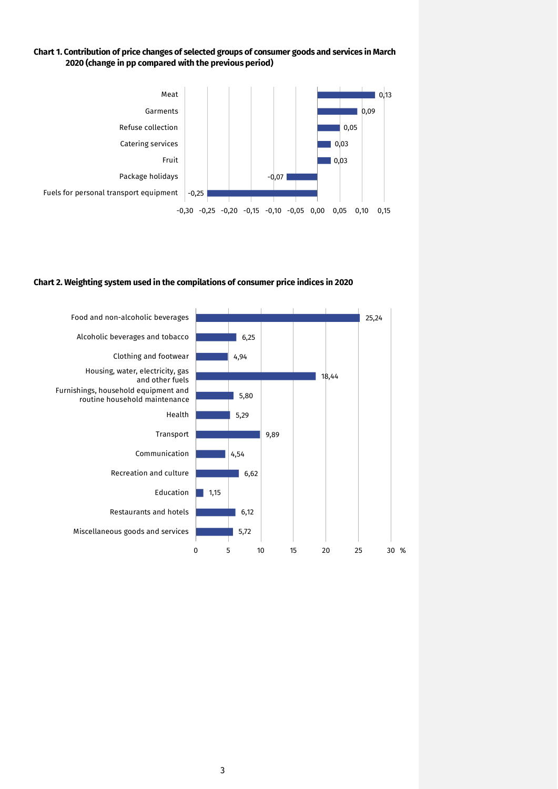#### **Chart 1. Contribution of price changes of selected groups of consumer goods and services in March 2020 (change in pp compared with the previous period)**



## **Chart 2. Weighting system used in the compilations of consumer price indices in 2020**

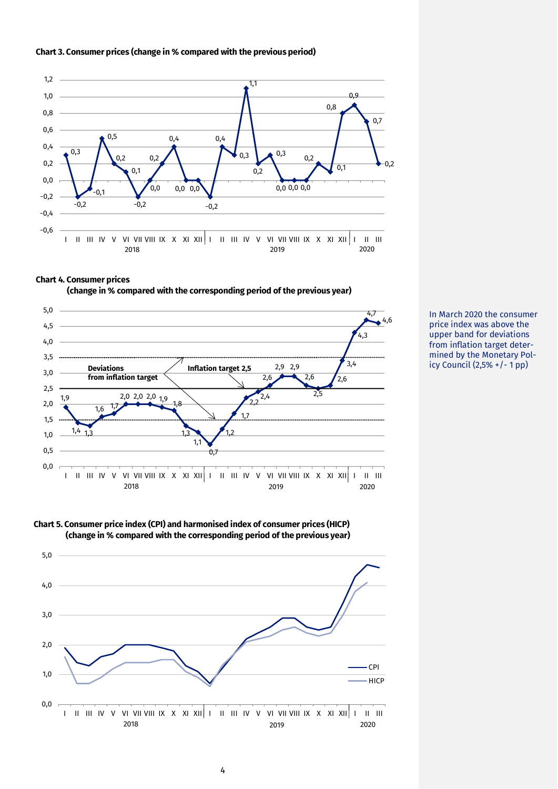



#### **Chart 4. Consumer prices**



**(change in % compared with the corresponding period of the previous year)**





In March 2020 the consumer price index was above the upper band for deviations from inflation target determined by the Monetary Policy Council (2,5% +/- 1 pp)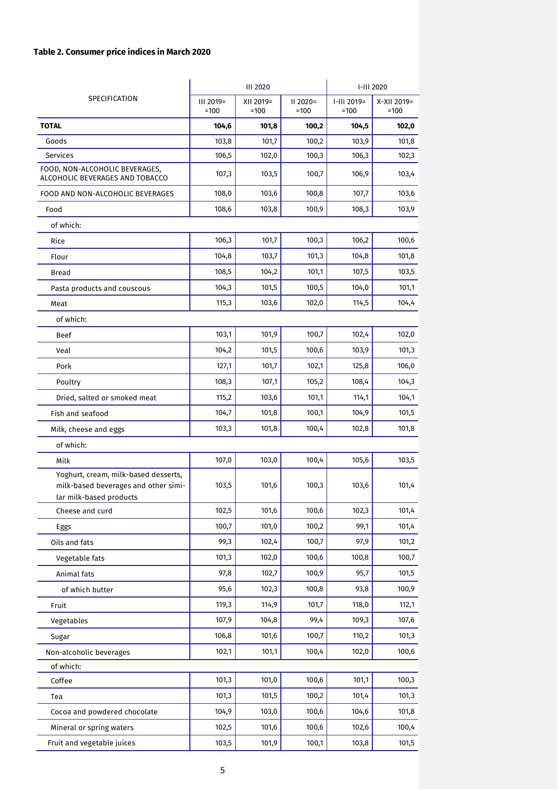## **Table 2. Consumer price indices in March 2020**

|                                                                                                         | <b>III 2020</b>     |                     |                      | I-III 2020            |                       |  |  |
|---------------------------------------------------------------------------------------------------------|---------------------|---------------------|----------------------|-----------------------|-----------------------|--|--|
| SPECIFICATION                                                                                           | III 2019=<br>$=100$ | XII 2019=<br>$=100$ | $II 2020=$<br>$=100$ | I-III 2019=<br>$=100$ | X-XII 2019=<br>$=100$ |  |  |
| <b>TOTAL</b>                                                                                            | 104,6               | 101,8               | 100,2                | 104,5                 | 102,0                 |  |  |
| Goods                                                                                                   | 103,8               | 101,7               | 100,2                | 103,9                 | 101,8                 |  |  |
| <b>Services</b>                                                                                         | 106,5               | 102,0               | 100,3                | 106,3                 | 102,3                 |  |  |
| FOOD, NON-ALCOHOLIC BEVERAGES,<br>ALCOHOLIC BEVERAGES AND TOBACCO                                       | 107,3               | 103,5               | 100,7                | 106,9                 | 103,4                 |  |  |
| FOOD AND NON-ALCOHOLIC BEVERAGES                                                                        | 108,0               | 103,6               | 100,8                | 107,7                 | 103,6                 |  |  |
| Food                                                                                                    | 108,6               | 103,8               | 100,9                | 108,3                 | 103,9                 |  |  |
| of which:                                                                                               |                     |                     |                      |                       |                       |  |  |
| Rice                                                                                                    | 106,3               | 101,7               | 100,3                | 106,2                 | 100,6                 |  |  |
| Flour                                                                                                   | 104,8               | 103,7               | 101,3                | 104,8                 | 101,8                 |  |  |
| <b>Bread</b>                                                                                            | 108,5               | 104,2               | 101,1                | 107,5                 | 103,5                 |  |  |
| Pasta products and couscous                                                                             | 104,3               | 101,5               | 100,5                | 104,0                 | 101,1                 |  |  |
| Meat                                                                                                    | 115,3               | 103,6               | 102,0                | 114,5                 | 104,4                 |  |  |
| of which:                                                                                               |                     |                     |                      |                       |                       |  |  |
| Beef                                                                                                    | 103,1               | 101,9               | 100,7                | 102,4                 | 102,0                 |  |  |
| Veal                                                                                                    | 104,2               | 101,5               | 100,6                | 103,9                 | 101,3                 |  |  |
| Pork                                                                                                    | 127,1               | 101,7               | 102,1                | 125,8                 | 106,0                 |  |  |
| Poultry                                                                                                 | 108,3               | 107,1               | 105,2                | 108,4                 | 104,3                 |  |  |
| Dried, salted or smoked meat                                                                            | 115,2               | 103,6               | 101,1                | 114,1                 | 104,1                 |  |  |
| Fish and seafood                                                                                        | 104,7               | 101,8               | 100,1                | 104,9                 | 101,5                 |  |  |
| Milk, cheese and eggs                                                                                   | 103,3               | 101,8               | 100,4                | 102,8                 | 101,8                 |  |  |
| of which:                                                                                               |                     |                     |                      |                       |                       |  |  |
| Milk                                                                                                    | 107,0               | 103,0               | 100,4                | 105,6                 | 103,5                 |  |  |
| Yoghurt, cream, milk-based desserts,<br>milk-based beverages and other simi-<br>lar milk-based products | 103,5               | 101,6               | 100,3                | 103,6                 | 101,4                 |  |  |
| Cheese and curd                                                                                         | 102,5               | 101,6               | 100,6                | 102,3                 | 101,4                 |  |  |
| Eggs                                                                                                    | 100,7               | 101,0               | 100,2                | 99,1                  | 101,4                 |  |  |
| Oils and fats                                                                                           | 99,3                | 102,4               | 100,7                | 97,9                  | 101,2                 |  |  |
| Vegetable fats                                                                                          | 101,3               | 102,0               | 100,6                | 100,8                 | 100,7                 |  |  |
| Animal fats                                                                                             | 97,8                | 102,7               | 100,9                | 95,7                  | 101,5                 |  |  |
| of which butter                                                                                         | 95,6                | 102,3               | 100,8                | 93,8                  | 100,9                 |  |  |
| Fruit                                                                                                   | 119,3               | 114,9               | 101,7                | 118,0                 | 112,1                 |  |  |
| Vegetables                                                                                              | 107,9               | 104,8               | 99,4                 | 109,3                 | 107,6                 |  |  |
| Sugar                                                                                                   | 106,8               | 101,6               | 100,7                | 110,2                 | 101,3                 |  |  |
| Non-alcoholic beverages                                                                                 | 102,1               | 101,1               | 100,4                | 102,0                 | 100,6                 |  |  |
| of which:                                                                                               |                     |                     |                      |                       |                       |  |  |
| Coffee                                                                                                  | 101,3               | 101,0               | 100,6                | 101,1                 | 100,3                 |  |  |
| Tea                                                                                                     | 101,3               | 101,5               | 100,2                | 101,4                 | 101,3                 |  |  |
| Cocoa and powdered chocolate                                                                            | 104,9               | 103,0               | 100,6                | 104,6                 | 101,8                 |  |  |
| Mineral or spring waters                                                                                | 102,5               | 101,6               | 100,6                | 102,6                 | 100,4                 |  |  |
| Fruit and vegetable juices                                                                              | 103,5               | 101,9               | 100,1                | 103,8                 | 101,5                 |  |  |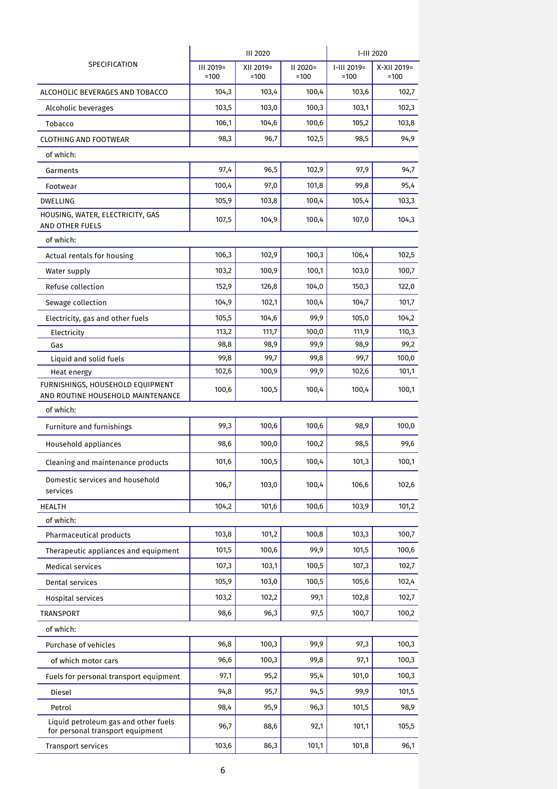|                                                                          | <b>III 2020</b>     |                     |                      | I-III 2020            |                       |
|--------------------------------------------------------------------------|---------------------|---------------------|----------------------|-----------------------|-----------------------|
| SPECIFICATION                                                            | III 2019=<br>$=100$ | XII 2019=<br>$=100$ | $II$ 2020=<br>$=100$ | I-III 2019=<br>$=100$ | X-XII 2019=<br>$=100$ |
| ALCOHOLIC BEVERAGES AND TOBACCO                                          | 104,3               | 103,4               | 100,4                | 103,6                 | 102,7                 |
| Alcoholic beverages                                                      | 103,5               | 103,0               | 100,3                | 103,1                 | 102,3                 |
| Tobacco                                                                  | 106,1               | 104,6               | 100,6                | 105,2                 | 103,8                 |
| <b>CLOTHING AND FOOTWEAR</b>                                             | 98,3                | 96,7                | 102,5                | 98,5                  | 94,9                  |
| of which:                                                                |                     |                     |                      |                       |                       |
| Garments                                                                 | 97,4                | 96,5                | 102,9                | 97,9                  | 94,7                  |
| Footwear                                                                 | 100,4               | 97,0                | 101,8                | 99,8                  | 95,4                  |
| <b>DWELLING</b>                                                          | 105,9               | 103,8               | 100,4                | 105,4                 | 103,3                 |
| HOUSING, WATER, ELECTRICITY, GAS<br>AND OTHER FUELS                      | 107,5               | 104,9               | 100,4                | 107,0                 | 104,3                 |
| of which:                                                                |                     |                     |                      |                       |                       |
| Actual rentals for housing                                               | 106,3               | 102,9               | 100,3                | 106,4                 | 102,5                 |
| Water supply                                                             | 103,2               | 100,9               | 100,1                | 103,0                 | 100,7                 |
| Refuse collection                                                        | 152,9               | 126,8               | 104,0                | 150,3                 | 122,0                 |
| Sewage collection                                                        | 104,9               | 102,1               | 100,4                | 104,7                 | 101,7                 |
| Electricity, gas and other fuels                                         | 105,5               | 104,6               | 99,9                 | 105,0                 | 104,2                 |
| Electricity                                                              | 113,2               | 111,7               | 100,0                | 111,9                 | 110,3                 |
| Gas                                                                      | 98,8                | 98,9                | 99,9                 | 98,9                  | 99,2                  |
| Liquid and solid fuels                                                   | 99,8                | 99,7                | 99,8                 | 99,7                  | 100,0                 |
| Heat energy                                                              | 102,6               | 100,9               | 99,9                 | 102,6                 | 101,1                 |
| FURNISHINGS, HOUSEHOLD EQUIPMENT<br>AND ROUTINE HOUSEHOLD MAINTENANCE    | 100,6               | 100,5               | 100,4                | 100,4                 | 100,1                 |
| of which:                                                                |                     |                     |                      |                       |                       |
| Furniture and furnishings                                                | 99,3                | 100,6               | 100,6                | 98,9                  | 100,0                 |
| Household appliances                                                     | 98,6                | 100,0               | 100,2                | 98,5                  | 99,6                  |
| Cleaning and maintenance products                                        | 101,6               | 100,5               | 100,4                | 101,3                 | 100,1                 |
| Domestic services and household<br>services                              | 106,7               | 103,0               | 100,4                | 106,6                 | 102,6                 |
| <b>HEALTH</b>                                                            | 104,2               | 101,6               | 100,6                | 103,9                 | 101,2                 |
| of which:                                                                |                     |                     |                      |                       |                       |
| Pharmaceutical products                                                  | 103,8               | 101,2               | 100,8                | 103,3                 | 100,7                 |
| Therapeutic appliances and equipment                                     | 101,5               | 100,6               | 99,9                 | 101,5                 | 100,6                 |
| <b>Medical services</b>                                                  | 107,3               | 103,1               | 100,5                | 107,3                 | 102,7                 |
| Dental services                                                          | 105,9               | 103,0               | 100,5                | 105,6                 | 102,4                 |
| Hospital services                                                        | 103,2               | 102,2               | 99,1                 | 102,8                 | 102,7                 |
| <b>TRANSPORT</b>                                                         | 98,6                | 96,3                | 97,5                 | 100,7                 | 100,2                 |
| of which:                                                                |                     |                     |                      |                       |                       |
| Purchase of vehicles                                                     | 96,8                | 100,3               | 99,9                 | 97,3                  | 100,3                 |
| of which motor cars                                                      | 96,6                | 100,3               | 99,8                 | 97,1                  | 100,3                 |
| Fuels for personal transport equipment                                   | 97,1                | 95,2                | 95,4                 | 101,0                 | 100,3                 |
| Diesel                                                                   | 94,8                | 95,7                | 94,5                 | 99,9                  | 101,5                 |
| Petrol                                                                   | 98,4                | 95,9                | 96,3                 | 101,5                 | 98,9                  |
| Liquid petroleum gas and other fuels<br>for personal transport equipment | 96,7                | 88,6                | 92,1                 | 101,1                 | 105,5                 |
| <b>Transport services</b>                                                | 103,6               | 86,3                | 101,1                | 101,8                 | 96,1                  |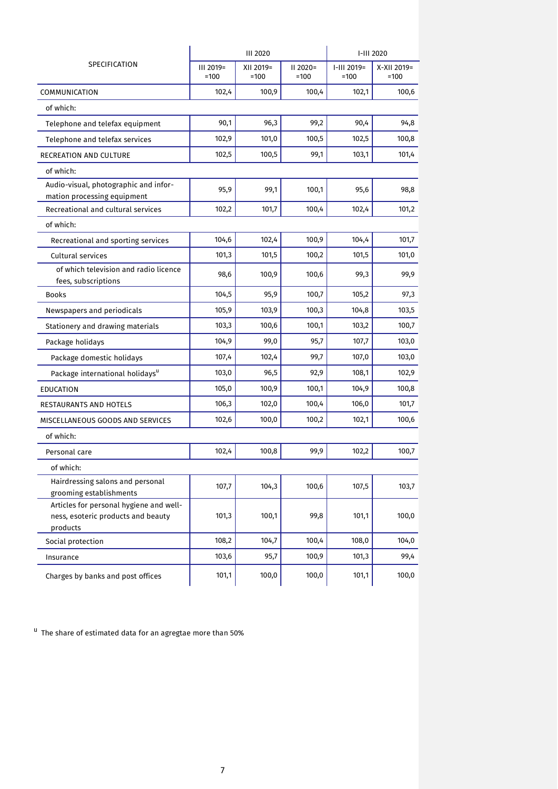|                                                                                           | <b>III 2020</b>     |                     |                      | I-III 2020              |                       |
|-------------------------------------------------------------------------------------------|---------------------|---------------------|----------------------|-------------------------|-----------------------|
| SPECIFICATION                                                                             | III 2019=<br>$=100$ | XII 2019=<br>$=100$ | $II$ 2020=<br>$=100$ | $I-III$ 2019=<br>$=100$ | X-XII 2019=<br>$=100$ |
| <b>COMMUNICATION</b>                                                                      | 102,4               | 100,9               | 100,4                | 102,1                   | 100,6                 |
| of which:                                                                                 |                     |                     |                      |                         |                       |
| Telephone and telefax equipment                                                           | 90,1                | 96,3                | 99,2                 | 90,4                    | 94,8                  |
| Telephone and telefax services                                                            | 102,9               | 101,0               | 100,5                | 102,5                   | 100,8                 |
| RECREATION AND CULTURE                                                                    | 102,5               | 100,5               | 99,1                 | 103,1                   | 101,4                 |
| of which:                                                                                 |                     |                     |                      |                         |                       |
| Audio-visual, photographic and infor-<br>mation processing equipment                      | 95,9                | 99,1                | 100,1                | 95,6                    | 98,8                  |
| Recreational and cultural services                                                        | 102,2               | 101,7               | 100,4                | 102,4                   | 101,2                 |
| of which:                                                                                 |                     |                     |                      |                         |                       |
| Recreational and sporting services                                                        | 104,6               | 102,4               | 100,9                | 104,4                   | 101,7                 |
| Cultural services                                                                         | 101,3               | 101,5               | 100,2                | 101,5                   | 101,0                 |
| of which television and radio licence<br>fees, subscriptions                              | 98,6                | 100,9               | 100,6                | 99,3                    | 99,9                  |
| <b>Books</b>                                                                              | 104,5               | 95,9                | 100,7                | 105,2                   | 97,3                  |
| Newspapers and periodicals                                                                | 105,9               | 103,9               | 100,3                | 104,8                   | 103,5                 |
| Stationery and drawing materials                                                          | 103,3               | 100,6               | 100,1                | 103,2                   | 100,7                 |
| Package holidays                                                                          | 104,9               | 99,0                | 95,7                 | 107,7                   | 103,0                 |
| Package domestic holidays                                                                 | 107,4               | 102,4               | 99,7                 | 107,0                   | 103,0                 |
| Package international holidays <sup>u</sup>                                               | 103,0               | 96,5                | 92,9                 | 108,1                   | 102,9                 |
| <b>EDUCATION</b>                                                                          | 105,0               | 100,9               | 100,1                | 104,9                   | 100,8                 |
| RESTAURANTS AND HOTELS                                                                    | 106,3               | 102,0               | 100,4                | 106,0                   | 101,7                 |
| MISCELLANEOUS GOODS AND SERVICES                                                          | 102,6               | 100,0               | 100,2                | 102,1                   | 100,6                 |
| of which:                                                                                 |                     |                     |                      |                         |                       |
| Personal care                                                                             | 102,4               | 100,8               | 99,9                 | 102,2                   | 100,7                 |
| of which:                                                                                 |                     |                     |                      |                         |                       |
| Hairdressing salons and personal<br>grooming establishments                               | 107,7               | 104,3               | 100,6                | 107,5                   | 103,7                 |
| Articles for personal hygiene and well-<br>ness, esoteric products and beauty<br>products | 101,3               | 100,1               | 99,8                 | 101,1                   | 100,0                 |
| Social protection                                                                         | 108,2               | 104,7               | 100,4                | 108,0                   | 104,0                 |
| Insurance                                                                                 | 103,6               | 95,7                | 100,9                | 101,3                   | 99,4                  |
| Charges by banks and post offices                                                         | 101,1               | 100,0               | 100,0                | 101,1                   | 100,0                 |

 $^{\text{u}}$  The share of estimated data for an agregtae more than 50%